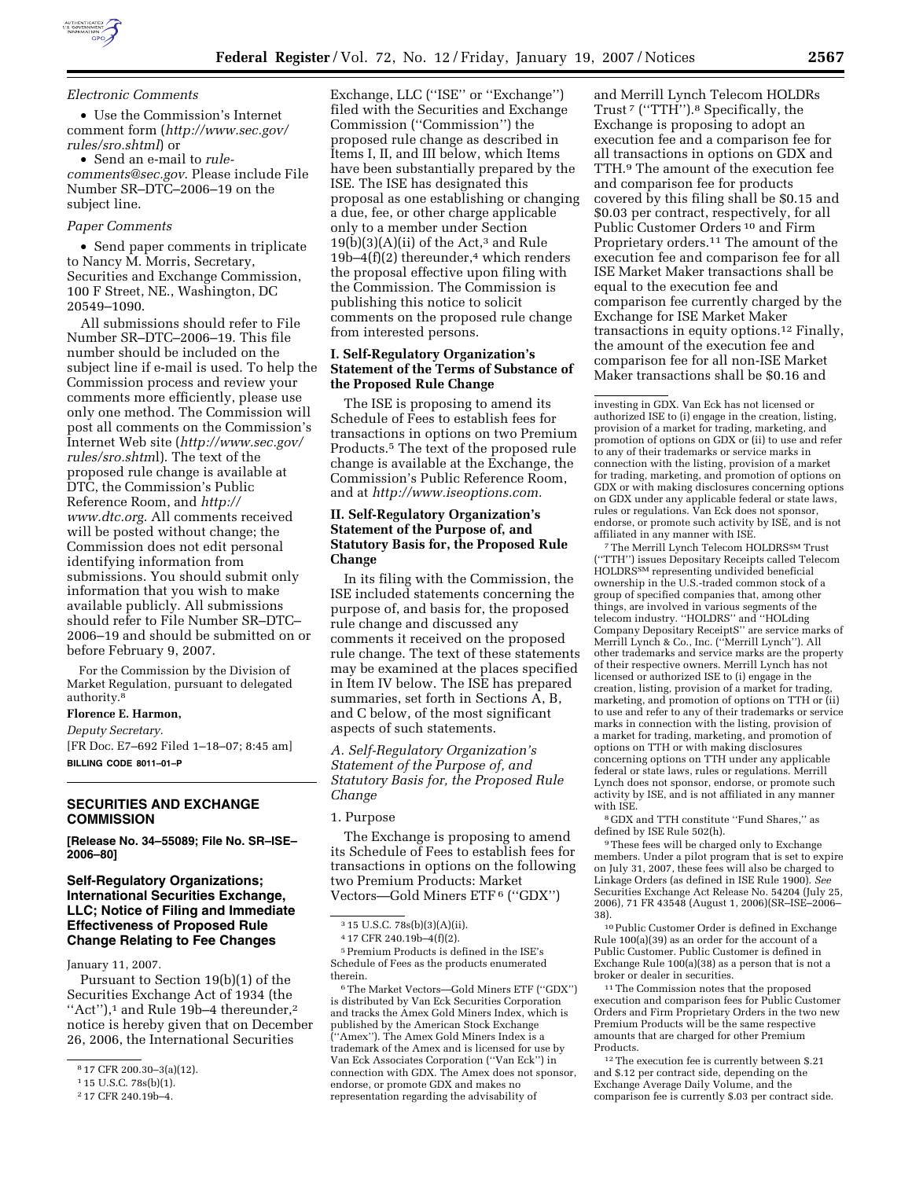

### *Electronic Comments*

• Use the Commission's Internet comment form (*http://www.sec.gov/ rules/sro.shtml*) or

• Send an e-mail to *rulecomments@sec.gov*. Please include File Number SR–DTC–2006–19 on the subject line.

### *Paper Comments*

• Send paper comments in triplicate to Nancy M. Morris, Secretary, Securities and Exchange Commission, 100 F Street, NE., Washington, DC 20549–1090.

All submissions should refer to File Number SR–DTC–2006–19. This file number should be included on the subject line if e-mail is used. To help the Commission process and review your comments more efficiently, please use only one method. The Commission will post all comments on the Commission's Internet Web site (*http://www.sec.gov/ rules/sro.shtm*l). The text of the proposed rule change is available at DTC, the Commission's Public Reference Room, and *http:// www.dtc.org*. All comments received will be posted without change; the Commission does not edit personal identifying information from submissions. You should submit only information that you wish to make available publicly. All submissions should refer to File Number SR–DTC– 2006–19 and should be submitted on or before February 9, 2007.

For the Commission by the Division of Market Regulation, pursuant to delegated authority.8

### **Florence E. Harmon,**

*Deputy Secretary.*  [FR Doc. E7–692 Filed 1–18–07; 8:45 am] **BILLING CODE 8011–01–P** 

## **SECURITIES AND EXCHANGE COMMISSION**

**[Release No. 34–55089; File No. SR–ISE– 2006–80]** 

## **Self-Regulatory Organizations; International Securities Exchange, LLC; Notice of Filing and Immediate Effectiveness of Proposed Rule Change Relating to Fee Changes**

January 11, 2007.

Pursuant to Section 19(b)(1) of the Securities Exchange Act of 1934 (the ''Act''),1 and Rule 19b–4 thereunder,2 notice is hereby given that on December 26, 2006, the International Securities

Exchange, LLC (''ISE'' or ''Exchange'') filed with the Securities and Exchange Commission (''Commission'') the proposed rule change as described in Items I, II, and III below, which Items have been substantially prepared by the ISE. The ISE has designated this proposal as one establishing or changing a due, fee, or other charge applicable only to a member under Section  $19(b)(3)(A)(ii)$  of the Act,<sup>3</sup> and Rule 19b–4 $(f)(2)$  thereunder,<sup>4</sup> which renders the proposal effective upon filing with the Commission. The Commission is publishing this notice to solicit comments on the proposed rule change from interested persons.

## **I. Self-Regulatory Organization's Statement of the Terms of Substance of the Proposed Rule Change**

The ISE is proposing to amend its Schedule of Fees to establish fees for transactions in options on two Premium Products.5 The text of the proposed rule change is available at the Exchange, the Commission's Public Reference Room, and at *http://www.iseoptions.com.* 

## **II. Self-Regulatory Organization's Statement of the Purpose of, and Statutory Basis for, the Proposed Rule Change**

In its filing with the Commission, the ISE included statements concerning the purpose of, and basis for, the proposed rule change and discussed any comments it received on the proposed rule change. The text of these statements may be examined at the places specified in Item IV below. The ISE has prepared summaries, set forth in Sections A, B, and C below, of the most significant aspects of such statements.

*A. Self-Regulatory Organization's Statement of the Purpose of, and Statutory Basis for, the Proposed Rule Change* 

## 1. Purpose

The Exchange is proposing to amend its Schedule of Fees to establish fees for transactions in options on the following two Premium Products: Market Vectors—Gold Miners ETF 6 (''GDX'')

5Premium Products is defined in the ISE's Schedule of Fees as the products enumerated therein.

6The Market Vectors—Gold Miners ETF (''GDX'') is distributed by Van Eck Securities Corporation and tracks the Amex Gold Miners Index, which is published by the American Stock Exchange (''Amex''). The Amex Gold Miners Index is a trademark of the Amex and is licensed for use by Van Eck Associates Corporation (''Van Eck'') in connection with GDX. The Amex does not sponsor, endorse, or promote GDX and makes no representation regarding the advisability of

and Merrill Lynch Telecom HOLDRs Trust<sup>7</sup> ("TTH").<sup>8</sup> Specifically, the Exchange is proposing to adopt an execution fee and a comparison fee for all transactions in options on GDX and TTH.9 The amount of the execution fee and comparison fee for products covered by this filing shall be \$0.15 and \$0.03 per contract, respectively, for all Public Customer Orders 10 and Firm Proprietary orders.<sup>11</sup> The amount of the execution fee and comparison fee for all ISE Market Maker transactions shall be equal to the execution fee and comparison fee currently charged by the Exchange for ISE Market Maker transactions in equity options.12 Finally, the amount of the execution fee and comparison fee for all non-ISE Market Maker transactions shall be \$0.16 and

investing in GDX. Van Eck has not licensed or authorized ISE to (i) engage in the creation, listing, provision of a market for trading, marketing, and promotion of options on GDX or (ii) to use and refer to any of their trademarks or service marks in connection with the listing, provision of a market for trading, marketing, and promotion of options on GDX or with making disclosures concerning options on GDX under any applicable federal or state laws, rules or regulations. Van Eck does not sponsor, endorse, or promote such activity by ISE, and is not affiliated in any manner with ISE.

7The Merrill Lynch Telecom HOLDRSSM Trust (''TTH'') issues Depositary Receipts called Telecom HOLDRSSM representing undivided beneficial ownership in the U.S.-traded common stock of a group of specified companies that, among other things, are involved in various segments of the telecom industry. ''HOLDRS'' and ''HOLding Company Depositary ReceiptS'' are service marks of Merrill Lynch & Co., Inc. (''Merrill Lynch''). All other trademarks and service marks are the property of their respective owners. Merrill Lynch has not licensed or authorized ISE to (i) engage in the creation, listing, provision of a market for trading, marketing, and promotion of options on TTH or (ii) to use and refer to any of their trademarks or service marks in connection with the listing, provision of a market for trading, marketing, and promotion of options on TTH or with making disclosures concerning options on TTH under any applicable federal or state laws, rules or regulations. Merrill Lynch does not sponsor, endorse, or promote such activity by ISE, and is not affiliated in any manner with ISE.

8 GDX and TTH constitute ''Fund Shares,'' as defined by ISE Rule 502(h).

9These fees will be charged only to Exchange members. Under a pilot program that is set to expire on July 31, 2007, these fees will also be charged to Linkage Orders (as defined in ISE Rule 1900). *See*  Securities Exchange Act Release No. 54204 (July 25, 2006), 71 FR 43548 (August 1, 2006)(SR–ISE–2006– 38).

10Public Customer Order is defined in Exchange Rule 100(a)(39) as an order for the account of a Public Customer. Public Customer is defined in Exchange Rule 100(a)(38) as a person that is not a broker or dealer in securities.

11The Commission notes that the proposed execution and comparison fees for Public Customer Orders and Firm Proprietary Orders in the two new Premium Products will be the same respective amounts that are charged for other Premium Products.

12The execution fee is currently between \$.21 and \$.12 per contract side, depending on the Exchange Average Daily Volume, and the comparison fee is currently \$.03 per contract side.

<sup>8</sup> 17 CFR 200.30–3(a)(12).

<sup>1</sup> 15 U.S.C. 78s(b)(1).

<sup>2</sup> 17 CFR 240.19b–4.

<sup>3</sup> 15 U.S.C. 78s(b)(3)(A)(ii).

<sup>4</sup> 17 CFR 240.19b–4(f)(2).